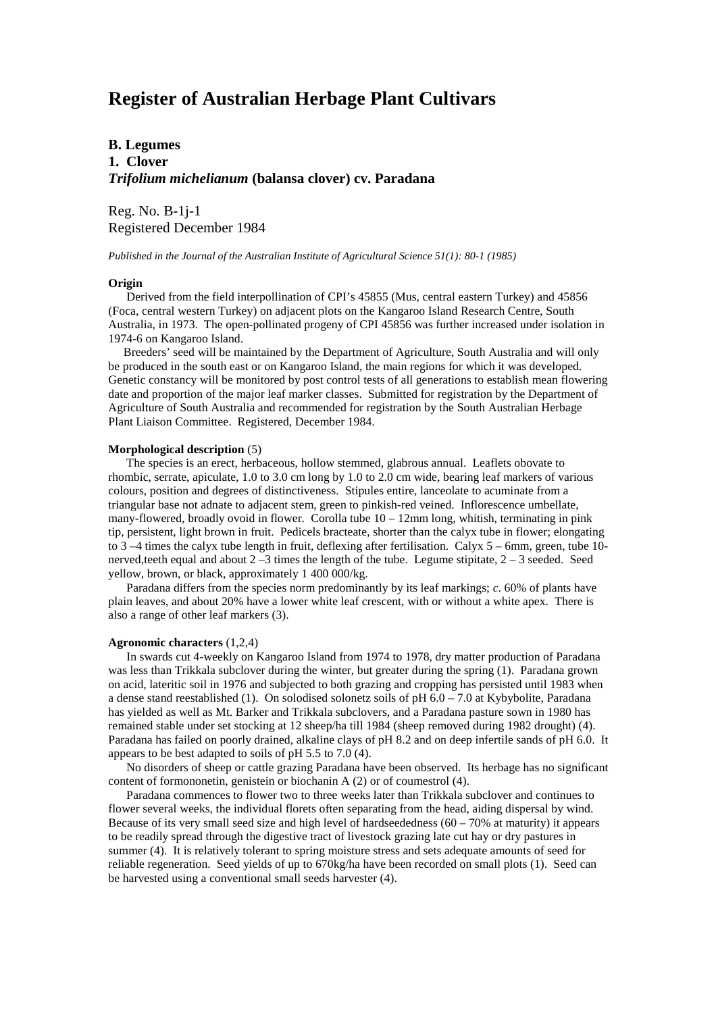# **Register of Australian Herbage Plant Cultivars**

# **B. Legumes 1. Clover** *Trifolium michelianum* **(balansa clover) cv. Paradana**

Reg. No. B-1j-1 Registered December 1984

*Published in the Journal of the Australian Institute of Agricultural Science 51(1): 80-1 (1985)*

### **Origin**

 Derived from the field interpollination of CPI's 45855 (Mus, central eastern Turkey) and 45856 (Foca, central western Turkey) on adjacent plots on the Kangaroo Island Research Centre, South Australia, in 1973. The open-pollinated progeny of CPI 45856 was further increased under isolation in 1974-6 on Kangaroo Island.

 Breeders' seed will be maintained by the Department of Agriculture, South Australia and will only be produced in the south east or on Kangaroo Island, the main regions for which it was developed. Genetic constancy will be monitored by post control tests of all generations to establish mean flowering date and proportion of the major leaf marker classes. Submitted for registration by the Department of Agriculture of South Australia and recommended for registration by the South Australian Herbage Plant Liaison Committee. Registered, December 1984.

#### **Morphological description** (5)

 The species is an erect, herbaceous, hollow stemmed, glabrous annual. Leaflets obovate to rhombic, serrate, apiculate, 1.0 to 3.0 cm long by 1.0 to 2.0 cm wide, bearing leaf markers of various colours, position and degrees of distinctiveness. Stipules entire, lanceolate to acuminate from a triangular base not adnate to adjacent stem, green to pinkish-red veined. Inflorescence umbellate, many-flowered, broadly ovoid in flower. Corolla tube  $10 - 12$ mm long, whitish, terminating in pink tip, persistent, light brown in fruit. Pedicels bracteate, shorter than the calyx tube in flower; elongating to 3 –4 times the calyx tube length in fruit, deflexing after fertilisation. Calyx 5 – 6mm, green, tube 10 nerved, teeth equal and about  $2 - 3$  times the length of the tube. Legume stipitate,  $2 - 3$  seeded. Seed yellow, brown, or black, approximately 1 400 000/kg.

 Paradana differs from the species norm predominantly by its leaf markings; *c*. 60% of plants have plain leaves, and about 20% have a lower white leaf crescent, with or without a white apex. There is also a range of other leaf markers (3).

#### **Agronomic characters** (1,2,4)

 In swards cut 4-weekly on Kangaroo Island from 1974 to 1978, dry matter production of Paradana was less than Trikkala subclover during the winter, but greater during the spring (1). Paradana grown on acid, lateritic soil in 1976 and subjected to both grazing and cropping has persisted until 1983 when a dense stand reestablished (1). On solodised solonetz soils of pH  $6.0 - 7.0$  at Kybybolite, Paradana has yielded as well as Mt. Barker and Trikkala subclovers, and a Paradana pasture sown in 1980 has remained stable under set stocking at 12 sheep/ha till 1984 (sheep removed during 1982 drought) (4). Paradana has failed on poorly drained, alkaline clays of pH 8.2 and on deep infertile sands of pH 6.0. It appears to be best adapted to soils of pH 5.5 to 7.0 (4).

 No disorders of sheep or cattle grazing Paradana have been observed. Its herbage has no significant content of formononetin, genistein or biochanin A (2) or of coumestrol (4).

 Paradana commences to flower two to three weeks later than Trikkala subclover and continues to flower several weeks, the individual florets often separating from the head, aiding dispersal by wind. Because of its very small seed size and high level of hardseededness  $(60 - 70\%$  at maturity) it appears to be readily spread through the digestive tract of livestock grazing late cut hay or dry pastures in summer (4). It is relatively tolerant to spring moisture stress and sets adequate amounts of seed for reliable regeneration. Seed yields of up to 670kg/ha have been recorded on small plots (1). Seed can be harvested using a conventional small seeds harvester (4).